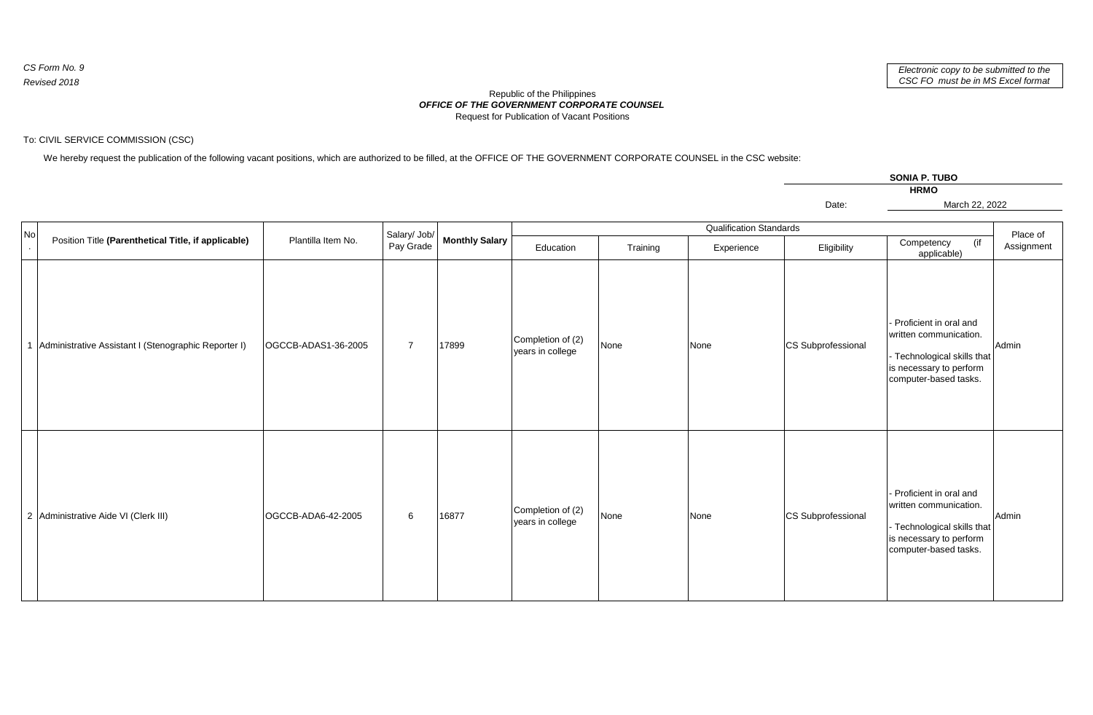*CS Form No. 9 Revised 2018*

**SONIA P. TUBO**

## *OFFICE OF THE GOVERNMENT CORPORATE COUNSEL* Republic of the Philippines Request for Publication of Vacant Positions

## To: CIVIL SERVICE COMMISSION (CSC)

We hereby request the publication of the following vacant positions, which are authorized to be filled, at the OFFICE OF THE GOVERNMENT CORPORATE COUNSEL in the CSC website:

|    |                                                        |                     |                           |                |                                       |          |                                              |                           | <b>HRMO</b>                                                                                                                         |                        |
|----|--------------------------------------------------------|---------------------|---------------------------|----------------|---------------------------------------|----------|----------------------------------------------|---------------------------|-------------------------------------------------------------------------------------------------------------------------------------|------------------------|
|    |                                                        |                     |                           |                |                                       |          |                                              | Date:                     | March 22, 2022                                                                                                                      |                        |
|    |                                                        |                     |                           |                |                                       |          |                                              |                           |                                                                                                                                     |                        |
| No | Position Title (Parenthetical Title, if applicable)    | Plantilla Item No.  | Salary/ Job/<br>Pay Grade | Monthly Salary | Education                             | Training | <b>Qualification Standards</b><br>Experience | Eligibility               | (if<br>Competency<br>applicable)                                                                                                    | Place of<br>Assignment |
|    | 1 Administrative Assistant I (Stenographic Reporter I) | OGCCB-ADAS1-36-2005 | $\overline{7}$            | 17899          | Completion of (2)<br>years in college | None     | None                                         | CS Subprofessional        | Proficient in oral and<br>written communication.<br>- Technological skills that<br>is necessary to perform<br>computer-based tasks. | Admin                  |
|    | 2 Administrative Aide VI (Clerk III)                   | OGCCB-ADA6-42-2005  | 6                         | 16877          | Completion of (2)<br>years in college | None     | None                                         | <b>CS Subprofessional</b> | Proficient in oral and<br>written communication.<br>- Technological skills that<br>is necessary to perform<br>computer-based tasks. | Admin                  |